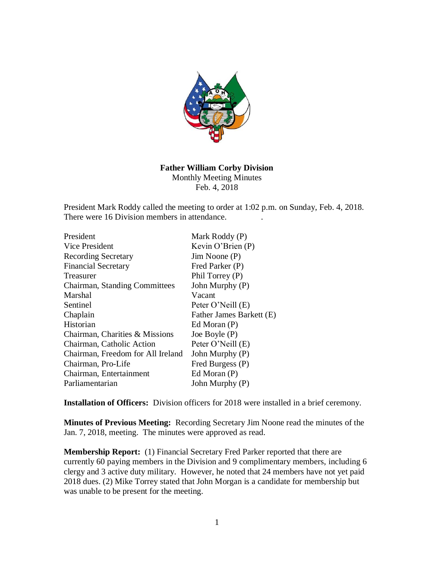

## **Father William Corby Division**

Monthly Meeting Minutes Feb. 4, 2018

President Mark Roddy called the meeting to order at 1:02 p.m. on Sunday, Feb. 4, 2018. There were 16 Division members in attendance.

| President                            | Mark Roddy (P)           |
|--------------------------------------|--------------------------|
| Vice President                       | Kevin O'Brien $(P)$      |
| <b>Recording Secretary</b>           | $Jim$ Noone $(P)$        |
| <b>Financial Secretary</b>           | Fred Parker (P)          |
| Treasurer                            | Phil Torrey (P)          |
| <b>Chairman, Standing Committees</b> | John Murphy (P)          |
| Marshal                              | Vacant                   |
| Sentinel                             | Peter O'Neill (E)        |
| Chaplain                             | Father James Barkett (E) |
| Historian                            | Ed Moran $(P)$           |
| Chairman, Charities & Missions       | Joe Boyle $(P)$          |
| Chairman, Catholic Action            | Peter O'Neill (E)        |
| Chairman, Freedom for All Ireland    | John Murphy (P)          |
| Chairman, Pro-Life                   | Fred Burgess (P)         |
| Chairman, Entertainment              | Ed Moran $(P)$           |
| Parliamentarian                      | John Murphy (P)          |

**Installation of Officers:** Division officers for 2018 were installed in a brief ceremony.

**Minutes of Previous Meeting:** Recording Secretary Jim Noone read the minutes of the Jan. 7, 2018, meeting. The minutes were approved as read.

**Membership Report:** (1) Financial Secretary Fred Parker reported that there are currently 60 paying members in the Division and 9 complimentary members, including 6 clergy and 3 active duty military. However, he noted that 24 members have not yet paid 2018 dues. (2) Mike Torrey stated that John Morgan is a candidate for membership but was unable to be present for the meeting.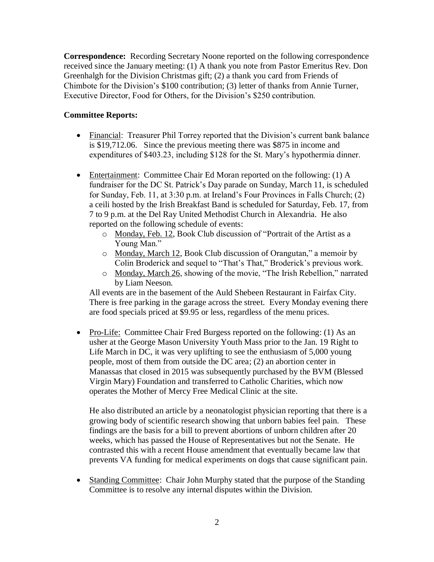**Correspondence:** Recording Secretary Noone reported on the following correspondence received since the January meeting: (1) A thank you note from Pastor Emeritus Rev. Don Greenhalgh for the Division Christmas gift; (2) a thank you card from Friends of Chimbote for the Division's \$100 contribution; (3) letter of thanks from Annie Turner, Executive Director, Food for Others, for the Division's \$250 contribution.

## **Committee Reports:**

- Financial: Treasurer Phil Torrey reported that the Division's current bank balance is \$19,712.06. Since the previous meeting there was \$875 in income and expenditures of \$403.23, including \$128 for the St. Mary's hypothermia dinner.
- Entertainment: Committee Chair Ed Moran reported on the following: (1) A fundraiser for the DC St. Patrick's Day parade on Sunday, March 11, is scheduled for Sunday, Feb. 11, at 3:30 p.m. at Ireland's Four Provinces in Falls Church; (2) a ceili hosted by the Irish Breakfast Band is scheduled for Saturday, Feb. 17, from 7 to 9 p.m. at the Del Ray United Methodist Church in Alexandria. He also reported on the following schedule of events:
	- o Monday, Feb. 12, Book Club discussion of "Portrait of the Artist as a Young Man."
	- o Monday, March 12, Book Club discussion of Orangutan," a memoir by Colin Broderick and sequel to "That's That," Broderick's previous work.
	- o Monday, March 26, showing of the movie, "The Irish Rebellion," narrated by Liam Neeson.

All events are in the basement of the Auld Shebeen Restaurant in Fairfax City. There is free parking in the garage across the street. Every Monday evening there are food specials priced at \$9.95 or less, regardless of the menu prices.

• Pro-Life: Committee Chair Fred Burgess reported on the following: (1) As an usher at the George Mason University Youth Mass prior to the Jan. 19 Right to Life March in DC, it was very uplifting to see the enthusiasm of 5,000 young people, most of them from outside the DC area; (2) an abortion center in Manassas that closed in 2015 was subsequently purchased by the BVM (Blessed Virgin Mary) Foundation and transferred to Catholic Charities, which now operates the Mother of Mercy Free Medical Clinic at the site.

He also distributed an article by a neonatologist physician reporting that there is a growing body of scientific research showing that unborn babies feel pain. These findings are the basis for a bill to prevent abortions of unborn children after 20 weeks, which has passed the House of Representatives but not the Senate. He contrasted this with a recent House amendment that eventually became law that prevents VA funding for medical experiments on dogs that cause significant pain.

• Standing Committee: Chair John Murphy stated that the purpose of the Standing Committee is to resolve any internal disputes within the Division.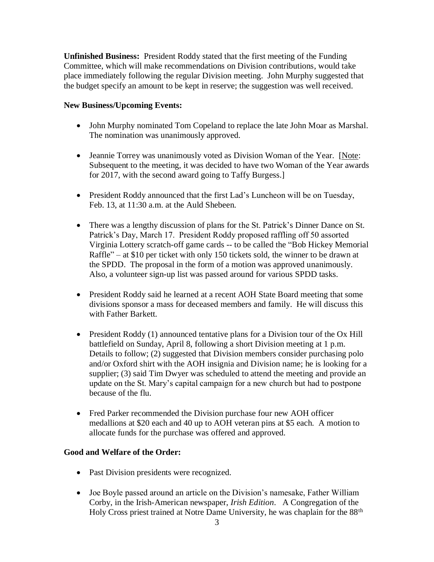**Unfinished Business:** President Roddy stated that the first meeting of the Funding Committee, which will make recommendations on Division contributions, would take place immediately following the regular Division meeting. John Murphy suggested that the budget specify an amount to be kept in reserve; the suggestion was well received.

## **New Business/Upcoming Events:**

- John Murphy nominated Tom Copeland to replace the late John Moar as Marshal. The nomination was unanimously approved.
- Jeannie Torrey was unanimously voted as Division Woman of the Year. [Note: Subsequent to the meeting, it was decided to have two Woman of the Year awards for 2017, with the second award going to Taffy Burgess.]
- President Roddy announced that the first Lad's Luncheon will be on Tuesday, Feb. 13, at 11:30 a.m. at the Auld Shebeen.
- There was a lengthy discussion of plans for the St. Patrick's Dinner Dance on St. Patrick's Day, March 17. President Roddy proposed raffling off 50 assorted Virginia Lottery scratch-off game cards -- to be called the "Bob Hickey Memorial Raffle" – at \$10 per ticket with only 150 tickets sold, the winner to be drawn at the SPDD. The proposal in the form of a motion was approved unanimously. Also, a volunteer sign-up list was passed around for various SPDD tasks.
- President Roddy said he learned at a recent AOH State Board meeting that some divisions sponsor a mass for deceased members and family. He will discuss this with Father Barkett.
- President Roddy (1) announced tentative plans for a Division tour of the Ox Hill battlefield on Sunday, April 8, following a short Division meeting at 1 p.m. Details to follow; (2) suggested that Division members consider purchasing polo and/or Oxford shirt with the AOH insignia and Division name; he is looking for a supplier; (3) said Tim Dwyer was scheduled to attend the meeting and provide an update on the St. Mary's capital campaign for a new church but had to postpone because of the flu.
- Fred Parker recommended the Division purchase four new AOH officer medallions at \$20 each and 40 up to AOH veteran pins at \$5 each. A motion to allocate funds for the purchase was offered and approved.

## **Good and Welfare of the Order:**

- Past Division presidents were recognized.
- Joe Boyle passed around an article on the Division's namesake, Father William Corby, in the Irish-American newspaper, *Irish Edition*. A Congregation of the Holy Cross priest trained at Notre Dame University, he was chaplain for the 88th